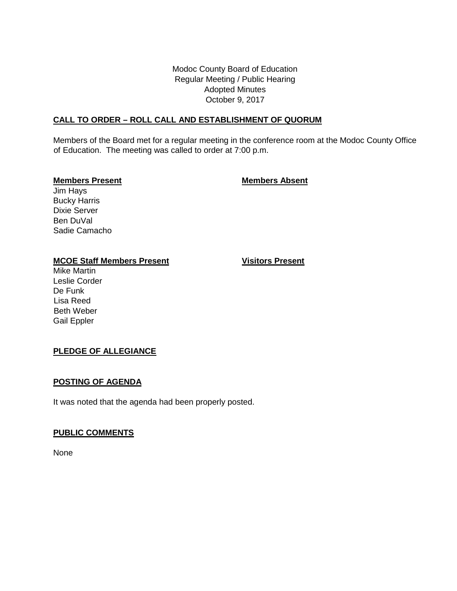Modoc County Board of Education Regular Meeting / Public Hearing Adopted Minutes October 9, 2017

# **CALL TO ORDER – ROLL CALL AND ESTABLISHMENT OF QUORUM**

Members of the Board met for a regular meeting in the conference room at the Modoc County Office of Education. The meeting was called to order at 7:00 p.m.

# **Members Present Members Absent**

Jim Hays Bucky Harris Dixie Server Ben DuVal Sadie Camacho

# **MCOE Staff Members Present Visitors Present**

Mike Martin Leslie Corder De Funk Lisa Reed Beth Weber Gail Eppler

# **PLEDGE OF ALLEGIANCE**

## **POSTING OF AGENDA**

It was noted that the agenda had been properly posted.

# **PUBLIC COMMENTS**

None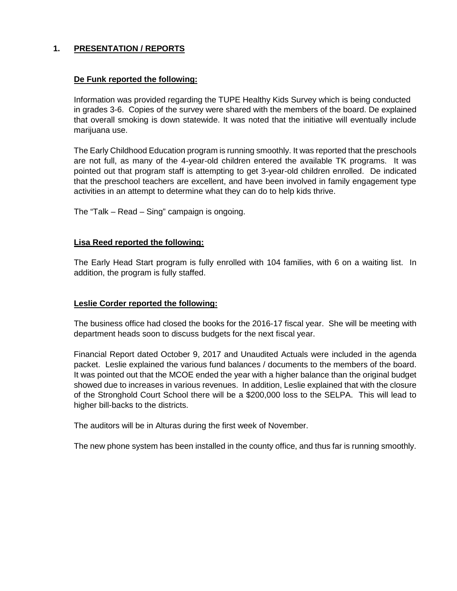# **1. PRESENTATION / REPORTS**

# **De Funk reported the following:**

Information was provided regarding the TUPE Healthy Kids Survey which is being conducted in grades 3-6. Copies of the survey were shared with the members of the board. De explained that overall smoking is down statewide. It was noted that the initiative will eventually include marijuana use.

The Early Childhood Education program is running smoothly. It was reported that the preschools are not full, as many of the 4-year-old children entered the available TK programs. It was pointed out that program staff is attempting to get 3-year-old children enrolled. De indicated that the preschool teachers are excellent, and have been involved in family engagement type activities in an attempt to determine what they can do to help kids thrive.

The "Talk – Read – Sing" campaign is ongoing.

# **Lisa Reed reported the following:**

The Early Head Start program is fully enrolled with 104 families, with 6 on a waiting list. In addition, the program is fully staffed.

## **Leslie Corder reported the following:**

The business office had closed the books for the 2016-17 fiscal year. She will be meeting with department heads soon to discuss budgets for the next fiscal year.

Financial Report dated October 9, 2017 and Unaudited Actuals were included in the agenda packet. Leslie explained the various fund balances / documents to the members of the board. It was pointed out that the MCOE ended the year with a higher balance than the original budget showed due to increases in various revenues. In addition, Leslie explained that with the closure of the Stronghold Court School there will be a \$200,000 loss to the SELPA. This will lead to higher bill-backs to the districts.

The auditors will be in Alturas during the first week of November.

The new phone system has been installed in the county office, and thus far is running smoothly.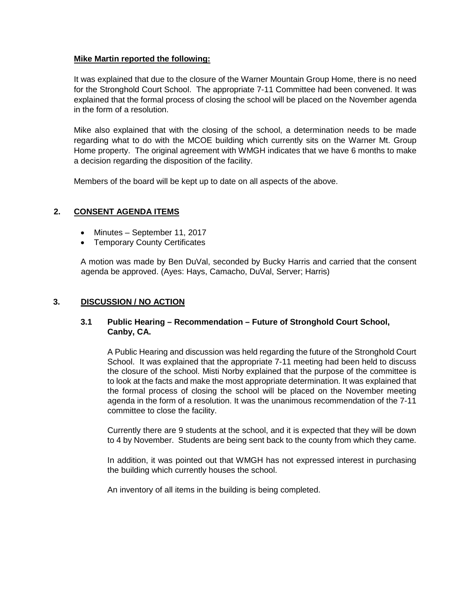# **Mike Martin reported the following:**

It was explained that due to the closure of the Warner Mountain Group Home, there is no need for the Stronghold Court School. The appropriate 7-11 Committee had been convened. It was explained that the formal process of closing the school will be placed on the November agenda in the form of a resolution.

Mike also explained that with the closing of the school, a determination needs to be made regarding what to do with the MCOE building which currently sits on the Warner Mt. Group Home property. The original agreement with WMGH indicates that we have 6 months to make a decision regarding the disposition of the facility.

Members of the board will be kept up to date on all aspects of the above.

# **2. CONSENT AGENDA ITEMS**

- Minutes September 11, 2017
- Temporary County Certificates

A motion was made by Ben DuVal, seconded by Bucky Harris and carried that the consent agenda be approved. (Ayes: Hays, Camacho, DuVal, Server; Harris)

# **3. DISCUSSION / NO ACTION**

# **3.1 Public Hearing – Recommendation – Future of Stronghold Court School, Canby, CA.**

A Public Hearing and discussion was held regarding the future of the Stronghold Court School. It was explained that the appropriate 7-11 meeting had been held to discuss the closure of the school. Misti Norby explained that the purpose of the committee is to look at the facts and make the most appropriate determination. It was explained that the formal process of closing the school will be placed on the November meeting agenda in the form of a resolution. It was the unanimous recommendation of the 7-11 committee to close the facility.

Currently there are 9 students at the school, and it is expected that they will be down to 4 by November. Students are being sent back to the county from which they came.

In addition, it was pointed out that WMGH has not expressed interest in purchasing the building which currently houses the school.

An inventory of all items in the building is being completed.